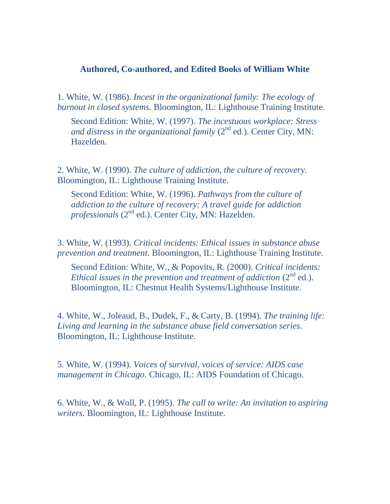## **Authored, Co-authored, and Edited Books of William White**

1. White, W. (1986). *Incest in the organizational family: The ecology of burnout in closed systems.* Bloomington, IL: Lighthouse Training Institute.

Second Edition: White, W. (1997). *The incestuous workplace: Stress and distress in the organizational family*  $(2^{nd}$  ed.). Center City, MN: Hazelden.

2. White, W. (1990). *The culture of addiction, the culture of recovery.* Bloomington, IL: Lighthouse Training Institute.

Second Edition: White, W. (1996). *Pathways from the culture of addiction to the culture of recovery: A travel guide for addiction professionals* (2<sup>nd</sup> ed.). Center City, MN: Hazelden.

3. White, W. (1993). *Critical incidents: Ethical issues in substance abuse prevention and treatment.* Bloomington, IL: Lighthouse Training Institute.

Second Edition: White, W., & Popovits, R. (2000). *Critical incidents: Ethical issues in the prevention and treatment of addiction* (2<sup>nd</sup> ed.). Bloomington, IL: Chestnut Health Systems/Lighthouse Institute.

4. White, W., Joleaud, B., Dudek, F., & Carty, B. (1994). *The training life: Living and learning in the substance abuse field conversation series.*  Bloomington, IL: Lighthouse Institute.

5. White, W. (1994). *Voices of survival, voices of service: AIDS case management in Chicago.* Chicago, IL: AIDS Foundation of Chicago.

6. White, W., & Woll, P. (1995). *The call to write: An invitation to aspiring writers.* Bloomington, IL: Lighthouse Institute.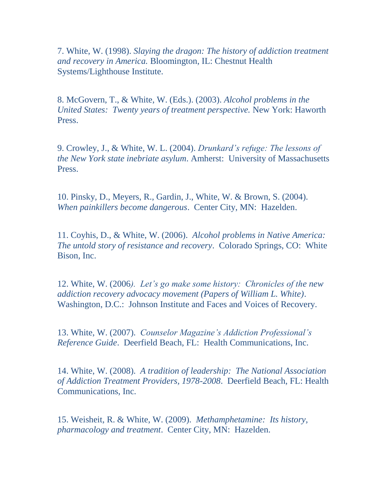7. White, W. (1998). *Slaying the dragon: The history of addiction treatment and recovery in America.* Bloomington, IL: Chestnut Health Systems/Lighthouse Institute.

8. McGovern, T., & White, W. (Eds.). (2003). *Alcohol problems in the United States: Twenty years of treatment perspective.* New York: Haworth Press.

9. Crowley, J., & White, W. L. (2004). *Drunkard's refuge: The lessons of the New York state inebriate asylum*. Amherst: University of Massachusetts Press.

10. Pinsky, D., Meyers, R., Gardin, J., White, W. & Brown, S. (2004). *When painkillers become dangerous*. Center City, MN: Hazelden.

11. Coyhis, D., & White, W. (2006). *Alcohol problems in Native America: The untold story of resistance and recovery*. Colorado Springs, CO: White Bison, Inc.

12. White, W. (2006*). Let's go make some history: Chronicles of the new addiction recovery advocacy movement (Papers of William L. White)*. Washington, D.C.: Johnson Institute and Faces and Voices of Recovery.

13. White, W. (2007). *Counselor Magazine's Addiction Professional's Reference Guide*. Deerfield Beach, FL: Health Communications, Inc.

14. White, W. (2008). *A tradition of leadership: The National Association of Addiction Treatment Providers, 1978-2008*. Deerfield Beach, FL: Health Communications, Inc.

15. Weisheit, R. & White, W. (2009). *Methamphetamine: Its history, pharmacology and treatment*. Center City, MN: Hazelden.